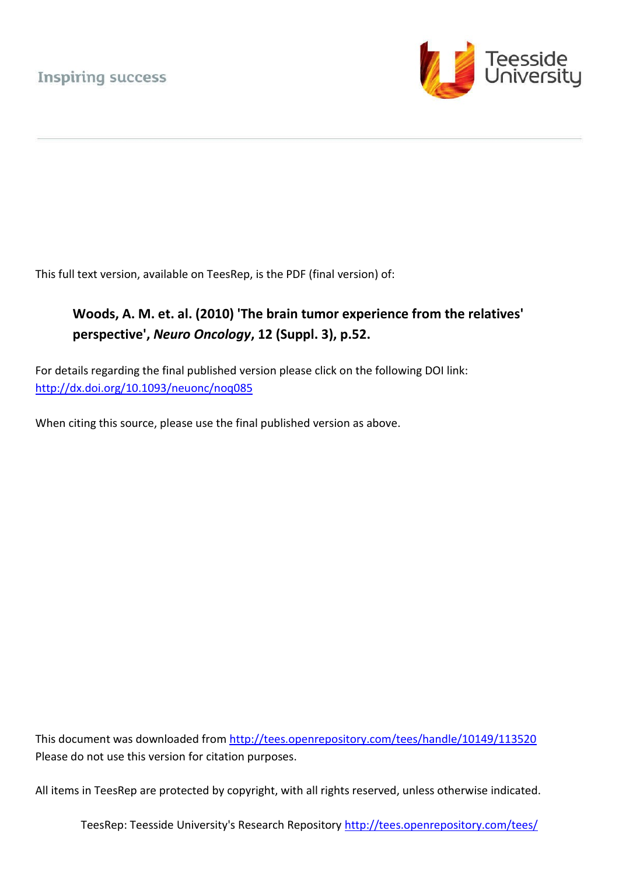

This full text version, available on TeesRep, is the PDF (final version) of:

## **Woods, A. M. et. al. (2010) 'The brain tumor experience from the relatives' perspective',** *Neuro Oncology***, 12 (Suppl. 3), p.52.**

For details regarding the final published version please click on the following DOI link: <http://dx.doi.org/10.1093/neuonc/noq085>

When citing this source, please use the final published version as above.

This document was downloaded from<http://tees.openrepository.com/tees/handle/10149/113520> Please do not use this version for citation purposes.

All items in TeesRep are protected by copyright, with all rights reserved, unless otherwise indicated.

TeesRep: Teesside University's Research Repository http://tees.openrepository.com/tees/